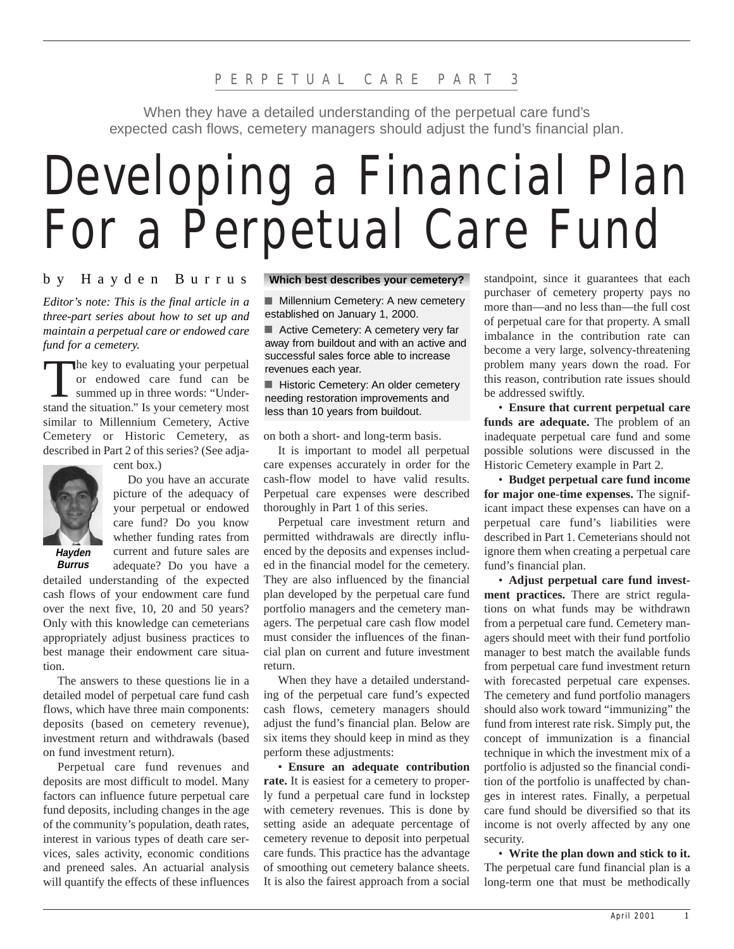When they have a detailed understanding of the perpetual care fund's expected cash flows, cemetery managers should adjust the fund's financial plan.

# Developing a Financial Plan For a Perpetual Care Fund

### by Hayden Burrus

*Editor's note: This is the final article in a three-part series about how to set up and maintain a perpetual care or endowed care fund for a cemetery.*

The key to evaluating your perpetual<br>
or endowed care fund can be<br>
summed up in three words: "Underor endowed care fund can be stand the situation." Is your cemetery most similar to Millennium Cemetery, Active Cemetery or Historic Cemetery, as described in Part 2 of this series? (See adja-



cent box.)

Do you have an accurate picture of the adequacy of your perpetual or endowed care fund? Do you know whether funding rates from current and future sales are

**Hayden Burrus**

adequate? Do you have a detailed understanding of the expected cash flows of your endowment care fund over the next five, 10, 20 and 50 years? Only with this knowledge can cemeterians appropriately adjust business practices to best manage their endowment care situation.

The answers to these questions lie in a detailed model of perpetual care fund cash flows, which have three main components: deposits (based on cemetery revenue), investment return and withdrawals (based on fund investment return).

Perpetual care fund revenues and deposits are most difficult to model. Many factors can influence future perpetual care fund deposits, including changes in the age of the community's population, death rates, interest in various types of death care services, sales activity, economic conditions and preneed sales. An actuarial analysis will quantify the effects of these influences

#### **Which best describes your cemetery?**

**Millennium Cemetery: A new cemetery** established on January 1, 2000.

Active Cemetery: A cemetery very far away from buildout and with an active and successful sales force able to increase revenues each year.

Historic Cemetery: An older cemetery needing restoration improvements and less than 10 years from buildout.

on both a short- and long-term basis.

It is important to model all perpetual care expenses accurately in order for the cash-flow model to have valid results. Perpetual care expenses were described thoroughly in Part 1 of this series.

Perpetual care investment return and permitted withdrawals are directly influenced by the deposits and expenses included in the financial model for the cemetery. They are also influenced by the financial plan developed by the perpetual care fund portfolio managers and the cemetery managers. The perpetual care cash flow model must consider the influences of the financial plan on current and future investment return.

When they have a detailed understanding of the perpetual care fund's expected cash flows, cemetery managers should adjust the fund's financial plan. Below are six items they should keep in mind as they perform these adjustments:

• **Ensure an adequate contribution rate.** It is easiest for a cemetery to properly fund a perpetual care fund in lockstep with cemetery revenues. This is done by setting aside an adequate percentage of cemetery revenue to deposit into perpetual care funds. This practice has the advantage of smoothing out cemetery balance sheets. It is also the fairest approach from a social

standpoint, since it guarantees that each purchaser of cemetery property pays no more than—and no less than—the full cost of perpetual care for that property. A small imbalance in the contribution rate can become a very large, solvency-threatening problem many years down the road. For this reason, contribution rate issues should be addressed swiftly.

• **Ensure that current perpetual care funds are adequate.** The problem of an inadequate perpetual care fund and some possible solutions were discussed in the Historic Cemetery example in Part 2.

• **Budget perpetual care fund income for major one-time expenses.** The significant impact these expenses can have on a perpetual care fund's liabilities were described in Part 1. Cemeterians should not ignore them when creating a perpetual care fund's financial plan.

• **Adjust perpetual care fund investment practices.** There are strict regulations on what funds may be withdrawn from a perpetual care fund. Cemetery managers should meet with their fund portfolio manager to best match the available funds from perpetual care fund investment return with forecasted perpetual care expenses. The cemetery and fund portfolio managers should also work toward "immunizing" the fund from interest rate risk. Simply put, the concept of immunization is a financial technique in which the investment mix of a portfolio is adjusted so the financial condition of the portfolio is unaffected by changes in interest rates. Finally, a perpetual care fund should be diversified so that its income is not overly affected by any one security.

• **Write the plan down and stick to it.** The perpetual care fund financial plan is a long-term one that must be methodically